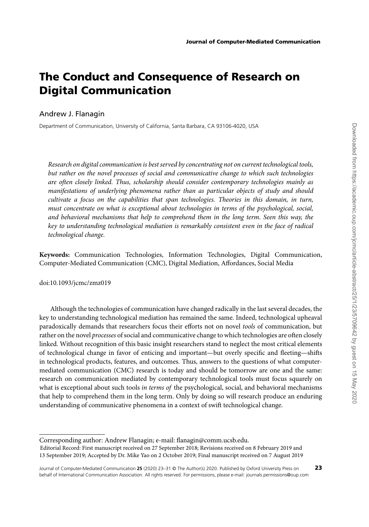# **The Conduct and Consequence of Research on Digital Communication**

### Andrew J. Flanagin

Department of Communication, University of California, Santa Barbara, CA 93106-4020, USA

*Research on digital communication is best served by concentrating not on current technological tools, but rather on the novel processes of social and communicative change to which such technologies are often closely linked. Thus, scholarship should consider contemporary technologies mainly as manifestations of underlying phenomena rather than as particular objects of study and should cultivate a focus on the capabilities that span technologies. Theories in this domain, in turn, must concentrate on what is exceptional about technologies in terms of the psychological, social, and behavioral mechanisms that help to comprehend them in the long term. Seen this way, the key to understanding technological mediation is remarkably consistent even in the face of radical technological change.*

**Keywords:** Communication Technologies, Information Technologies, Digital Communication, Computer-Mediated Communication (CMC), Digital Mediation, Affordances, Social Media

doi:10.1093/jcmc/zmz019

Although the technologies of communication have changed radically in the last several decades, the key to understanding technological mediation has remained the same. Indeed, technological upheaval paradoxically demands that researchers focus their efforts not on novel *tools* of communication, but rather on the novel *processes* of social and communicative change to which technologies are often closely linked. Without recognition of this basic insight researchers stand to neglect the most critical elements of technological change in favor of enticing and important—but overly specific and fleeting—shifts in technological products, features, and outcomes. Thus, answers to the questions of what computermediated communication (CMC) research is today and should be tomorrow are one and the same: research on communication mediated by contemporary technological tools must focus squarely on what is exceptional about such tools *in terms of* the psychological, social, and behavioral mechanisms that help to comprehend them in the long term. Only by doing so will research produce an enduring understanding of communicative phenomena in a context of swift technological change.

Corresponding author: Andrew Flanagin; e-mail: flanagin@comm.ucsb.edu.

Editorial Record: First manuscript received on 27 September 2018; Revisions received on 8 February 2019 and 13 September 2019; Accepted by Dr. Mike Yao on 2 October 2019; Final manuscript received on 7 August 2019

Journal of Computer-Mediated Communication **25** (2020) 23–31 © The Author(s) 2020. Published by Oxford University Press on behalf of International Communication Association. All rights reserved. For permissions, please e-mail: journals.permissions@oup.com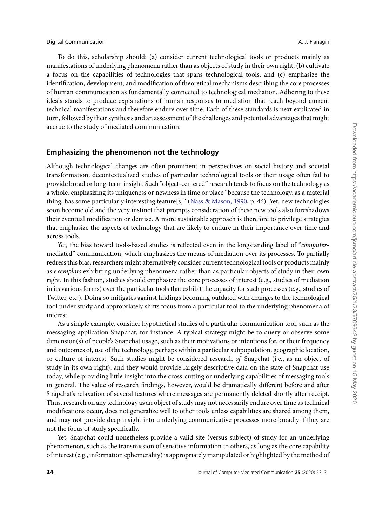To do this, scholarship should: (a) consider current technological tools or products mainly as manifestations of underlying phenomena rather than as objects of study in their own right, (b) cultivate a focus on the capabilities of technologies that spans technological tools, and (c) emphasize the identification, development, and modification of theoretical mechanisms describing the core processes of human communication as fundamentally connected to technological mediation. Adhering to these ideals stands to produce explanations of human responses to mediation that reach beyond current technical manifestations and therefore endure over time. Each of these standards is next explicated in turn, followed by their synthesis and an assessment of the challenges and potential advantages that might accrue to the study of mediated communication.

## **Emphasizing the phenomenon not the technology**

Although technological changes are often prominent in perspectives on social history and societal transformation, decontextualized studies of particular technological tools or their usage often fail to provide broad or long-term insight. Such "object-centered" research tends to focus on the technology as a whole, emphasizing its uniqueness or newness in time or place "because the technology, as a material thing, has some particularly interesting feature[s]" [\(Nass & Mason, 1990,](#page-8-0) p. 46). Yet, new technologies soon become old and the very instinct that prompts consideration of these new tools also foreshadows their eventual modification or demise. A more sustainable approach is therefore to privilege strategies that emphasize the aspects of technology that are likely to endure in their importance over time and across tools.

Yet, the bias toward tools-based studies is reflected even in the longstanding label of "*computer*mediated" communication, which emphasizes the means of mediation over its processes. To partially redress this bias, researchers might alternatively consider current technological tools or products mainly as *exemplars* exhibiting underlying phenomena rather than as particular objects of study in their own right. In this fashion, studies should emphasize the core processes of interest (e.g., studies of mediation in its various forms) over the particular tools that exhibit the capacity for such processes (e.g., studies of Twitter, etc.). Doing so mitigates against findings becoming outdated with changes to the technological tool under study and appropriately shifts focus from a particular tool to the underlying phenomena of interest.

As a simple example, consider hypothetical studies of a particular communication tool, such as the messaging application Snapchat, for instance. A typical strategy might be to query or observe some dimension(s) of people's Snapchat usage, such as their motivations or intentions for, or their frequency and outcomes of, use of the technology, perhaps within a particular subpopulation, geographic location, or culture of interest. Such studies might be considered research *of* Snapchat (i.e., as an object of study in its own right), and they would provide largely descriptive data on the state of Snapchat use today, while providing little insight into the cross-cutting or underlying capabilities of messaging tools in general. The value of research findings, however, would be dramatically different before and after Snapchat's relaxation of several features where messages are permanently deleted shortly after receipt. Thus, research on any technology as an object of study may not necessarily endure over time as technical modifications occur, does not generalize well to other tools unless capabilities are shared among them, and may not provide deep insight into underlying communicative processes more broadly if they are not the focus of study specifically.

Yet, Snapchat could nonetheless provide a valid site (versus subject) of study for an underlying phenomenon, such as the transmission of sensitive information to others, as long as the core capability of interest (e.g., information ephemerality) is appropriately manipulated or highlighted by the method of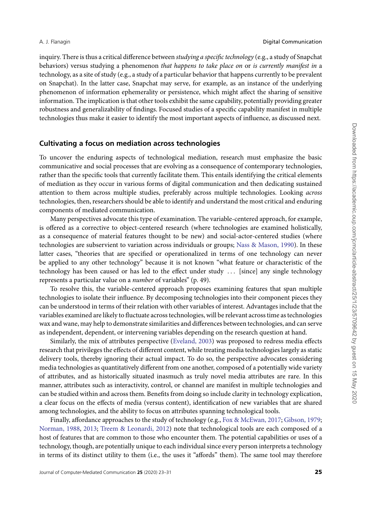inquiry. There is thus a critical difference between *studying a specific technology* (e.g., a study of Snapchat behaviors) versus studying a phenomenon *that happens to take place on* or *is currently manifest in* a technology, as a site of study (e.g., a study of a particular behavior that happens currently to be prevalent on Snapchat). In the latter case, Snapchat may serve, for example, as an instance of the underlying phenomenon of information ephemerality or persistence, which might affect the sharing of sensitive information. The implication is that other tools exhibit the same capability, potentially providing greater robustness and generalizability of findings. Focused studies of a specific capability manifest in multiple technologies thus make it easier to identify the most important aspects of influence, as discussed next.

### **Cultivating a focus on mediation across technologies**

To uncover the enduring aspects of technological mediation, research must emphasize the basic communicative and social processes that are evolving as a consequence of contemporary technologies, rather than the specific tools that currently facilitate them. This entails identifying the critical elements of mediation as they occur in various forms of digital communication and then dedicating sustained attention to them across multiple studies, preferably across multiple technologies. Looking *across* technologies, then, researchers should be able to identify and understand the most critical and enduring components of mediated communication.

Many perspectives advocate this type of examination. The variable-centered approach, for example, is offered as a corrective to object-centered research (where technologies are examined holistically, as a consequence of material features thought to be new) and social-actor-centered studies (where technologies are subservient to variation across individuals or groups; [Nass & Mason, 1990\)](#page-8-0). In these latter cases, "theories that are specified or operationalized in terms of one technology can never be applied to any other technology" because it is not known "what feature or characteristic of the technology has been caused or has led to the effect under study *...* [since] any single technology represents a particular value on a *number* of variables" (p. 49).

To resolve this, the variable-centered approach proposes examining features that span multiple technologies to isolate their influence. By decomposing technologies into their component pieces they can be understood in terms of their relation with other variables of interest. Advantages include that the variables examined are likely to fluctuate across technologies, will be relevant across time as technologies wax and wane, may help to demonstrate similarities and differences between technologies, and can serve as independent, dependent, or intervening variables depending on the research question at hand.

Similarly, the mix of attributes perspective [\(Eveland, 2003\)](#page-8-1) was proposed to redress media effects research that privileges the effects of different content, while treating media technologies largely as static delivery tools, thereby ignoring their actual impact. To do so, the perspective advocates considering media technologies as quantitatively different from one another, composed of a potentially wide variety of attributes, and as historically situated inasmuch as truly novel media attributes are rare. In this manner, attributes such as interactivity, control, or channel are manifest in multiple technologies and can be studied within and across them. Benefits from doing so include clarity in technology explication, a clear focus on the effects of media (versus content), identification of new variables that are shared among technologies, and the ability to focus on attributes spanning technological tools.

Finally, affordance approaches to the study of technology (e.g., [Fox & McEwan, 2017;](#page-8-2) [Gibson, 1979;](#page-8-3) [Norman, 1988,](#page-8-4) [2013;](#page-8-5) [Treem & Leonardi, 2012\)](#page-8-6) note that technological tools are each composed of a host of features that are common to those who encounter them. The potential capabilities or uses of a technology, though, are potentially unique to each individual since every person interprets a technology in terms of its distinct utility to them (i.e., the uses it "affords" them). The same tool may therefore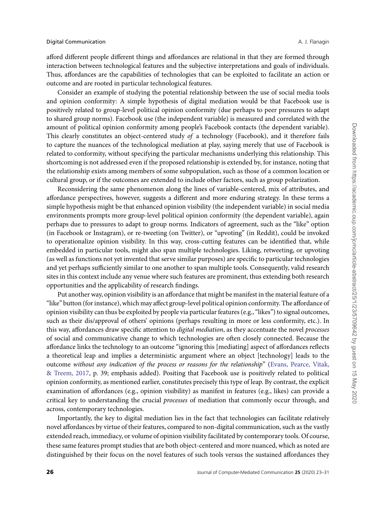afford different people different things and affordances are relational in that they are formed through interaction between technological features and the subjective interpretations and goals of individuals. Thus, affordances are the capabilities of technologies that can be exploited to facilitate an action or outcome and are rooted in particular technological features.

Consider an example of studying the potential relationship between the use of social media tools and opinion conformity: A simple hypothesis of digital mediation would be that Facebook use is positively related to group-level political opinion conformity (due perhaps to peer pressures to adapt to shared group norms). Facebook use (the independent variable) is measured and correlated with the amount of political opinion conformity among people's Facebook contacts (the dependent variable). This clearly constitutes an object-centered study *of* a technology (Facebook), and it therefore fails to capture the nuances of the technological mediation at play, saying merely that use of Facebook is related to conformity, without specifying the particular mechanisms underlying this relationship. This shortcoming is not addressed even if the proposed relationship is extended by, for instance, noting that the relationship exists among members of some subpopulation, such as those of a common location or cultural group, or if the outcomes are extended to include other factors, such as group polarization.

Reconsidering the same phenomenon along the lines of variable-centered, mix of attributes, and affordance perspectives, however, suggests a different and more enduring strategy. In these terms a simple hypothesis might be that enhanced opinion visibility (the independent variable) in social media environments prompts more group-level political opinion conformity (the dependent variable), again perhaps due to pressures to adapt to group norms. Indicators of agreement, such as the "like" option (in Facebook or Instagram), or re-tweeting (on Twitter), or "upvoting" (in Reddit), could be invoked to operationalize opinion visibility. In this way, cross-cutting features can be identified that, while embedded in particular tools, might also span multiple technologies. Liking, retweeting, or upvoting (as well as functions not yet invented that serve similar purposes) are specific to particular technologies and yet perhaps sufficiently similar to one another to span multiple tools. Consequently, valid research sites in this context include any venue where such features are prominent, thus extending both research opportunities and the applicability of research findings.

Put another way, opinion visibility is an affordance that might be manifest in the material feature of a "like" button (for instance), which may affect group-level political opinion conformity. The affordance of opinion visibility can thus be exploited by people via particular features (e.g., "likes") to signal outcomes, such as their dis/approval of others' opinions (perhaps resulting in more or less conformity, etc.). In this way, affordances draw specific attention to *digital mediation*, as they accentuate the novel *processes* of social and communicative change to which technologies are often closely connected. Because the affordance links the technology to an outcome "ignoring this [mediating] aspect of affordances reflects a theoretical leap and implies a deterministic argument where an object [technology] leads to the outcome *without any indication of the process or reasons for the relationship*" (Evans, Pearce, Vitak, [& Treem, 2017, p. 39; emphasis added\). Positing that Facebook use is positively related to political](#page-8-7) opinion conformity, as mentioned earlier, constitutes precisely this type of leap. By contrast, the explicit examination of affordances (e.g., opinion visibility) as manifest in features (e.g., likes) can provide a critical key to understanding the crucial *processes* of mediation that commonly occur through, and across, contemporary technologies.

Importantly, the key to digital mediation lies in the fact that technologies can facilitate relatively novel affordances by virtue of their features, compared to non-digital communication, such as the vastly extended reach, immediacy, or volume of opinion visibility facilitated by contemporary tools. Of course, these same features prompt studies that are both object-centered and more nuanced, which as noted are distinguished by their focus on the novel features of such tools versus the sustained affordances they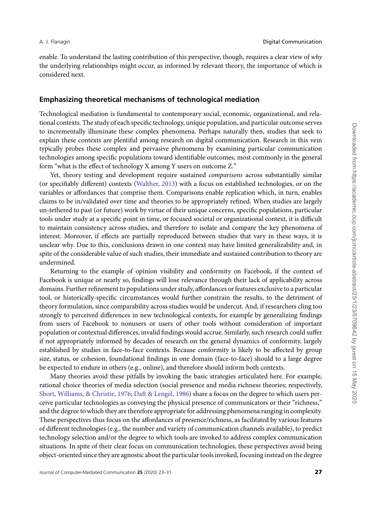enable. To understand the lasting contribution of this perspective, though, requires a clear view of *why* the underlying relationships might occur, as informed by relevant theory, the importance of which is considered next.

#### **Emphasizing theoretical mechanisms of technological mediation**

Technological mediation is fundamental to contemporary social, economic, organizational, and relational contexts. The study of each specific technology, unique population, and particular outcome serves to incrementally illuminate these complex phenomena. Perhaps naturally then, studies that seek to explain these contexts are plentiful among research on digital communication. Research in this vein typically probes these complex and pervasive phenomena by examining particular communication technologies among specific populations toward identifiable outcomes, most commonly in the general form "what is the effect of technology X among Y users on outcome Z."

Yet, theory testing and development require sustained *comparisons* across substantially similar (or specifiably different) contexts [\(Walther, 2013\)](#page-8-8) with a focus on established technologies, or on the variables or affordances that comprise them. Comparisons enable replication which, in turn, enables claims to be in/validated over time and theories to be appropriately refined. When studies are largely un-tethered to past (or future) work by virtue of their unique concerns, specific populations, particular tools under study at a specific point in time, or focused societal or organizational context, it is difficult to maintain consistency across studies, and therefore to isolate and compare the key phenomena of interest. Moreover, if effects are partially reproduced between studies that vary in these ways, it is unclear why. Due to this, conclusions drawn in one context may have limited generalizability and, in spite of the considerable value of such studies, their immediate and sustained contribution to theory are undermined.

Returning to the example of opinion visibility and conformity on Facebook, if the context of Facebook is unique or nearly so, findings will lose relevance through their lack of applicability across domains. Further refinement to populations under study, affordances or features exclusive to a particular tool, or historically-specific circumstances would further constrain the results, to the detriment of theory formulation, since comparability across studies would be undercut. And, if researchers cling too strongly to perceived differences in new technological contexts, for example by generalizing findings from users of Facebook to nonusers or users of other tools without consideration of important population or contextual differences, invalid findings would accrue. Similarly, such research could suffer if not appropriately informed by decades of research on the general dynamics of conformity, largely established by studies in face-to-face contexts. Because conformity is likely to be affected by group size, status, or cohesion, foundational findings in one domain (face-to-face) should to a large degree be expected to endure in others (e.g., online), and therefore should inform both contexts.

Many theories avoid these pitfalls by invoking the basic strategies articulated here. For example, rational choice theories of media selection (social presence and media richness theories; respectively, [Short, Williams, & Christie, 1976;](#page-8-9) [Daft & Lengel, 1986\)](#page-8-10) share a focus on the degree to which users perceive particular technologies as conveying the physical presence of communicators or their "richness," and the degree to which they are therefore appropriate for addressing phenomena ranging in complexity. These perspectives thus focus on the affordances of presence/richness, as facilitated by various features of different technologies (e.g., the number and variety of communication channels available), to predict technology selection and/or the degree to which tools are invoked to address complex communication situations. In spite of their clear focus on communication technologies, these perspectives avoid being object-oriented since they are agnostic about the particular tools invoked, focusing instead on the degree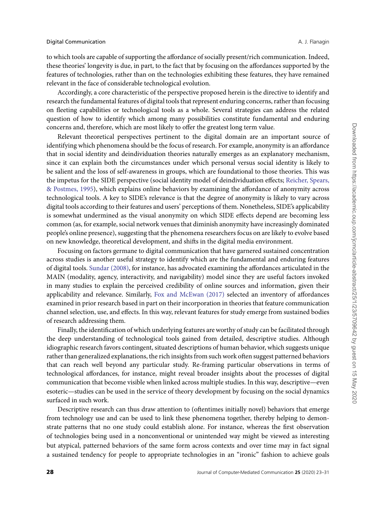to which tools are capable of supporting the affordance of socially present/rich communication. Indeed, these theories' longevity is due, in part, to the fact that by focusing on the affordances supported by the features of technologies, rather than on the technologies exhibiting these features, they have remained relevant in the face of considerable technological evolution.

Accordingly, a core characteristic of the perspective proposed herein is the directive to identify and research the fundamental features of digital tools that represent enduring concerns, rather than focusing on fleeting capabilities or technological tools as a whole. Several strategies can address the related question of how to identify which among many possibilities constitute fundamental and enduring concerns and, therefore, which are most likely to offer the greatest long term value.

Relevant theoretical perspectives pertinent to the digital domain are an important source of identifying which phenomena should be the focus of research. For example, anonymity is an affordance that in social identity and deindividuation theories naturally emerges as an explanatory mechanism, since it can explain both the circumstances under which personal versus social identity is likely to be salient and the loss of self-awareness in groups, which are foundational to those theories. This was the impetus for the SIDE perspective (social identity model of deindividuation effects; Reicher, Spears, [& Postmes, 1995\), which explains online behaviors by examining the affordance of anonymity across](#page-8-11) technological tools. A key to SIDE's relevance is that the degree of anonymity is likely to vary across digital tools according to their features and users' perceptions of them. Nonetheless, SIDE's applicability is somewhat undermined as the visual anonymity on which SIDE effects depend are becoming less common (as, for example, social network venues that diminish anonymity have increasingly dominated people's online presence), suggesting that the phenomena researchers focus on are likely to evolve based on new knowledge, theoretical development, and shifts in the digital media environment.

Focusing on factors germane to digital communication that have garnered sustained concentration across studies is another useful strategy to identify which are the fundamental and enduring features of digital tools. [Sundar \(2008\),](#page-8-12) for instance, has advocated examining the affordances articulated in the MAIN (modality, agency, interactivity, and navigability) model since they are useful factors invoked in many studies to explain the perceived credibility of online sources and information, given their applicability and relevance. Similarly, [Fox and McEwan \(2017\)](#page-8-2) selected an inventory of affordances examined in prior research based in part on their incorporation in theories that feature communication channel selection, use, and effects. In this way, relevant features for study emerge from sustained bodies of research addressing them.

Finally, the identification of which underlying features are worthy of study can be facilitated through the deep understanding of technological tools gained from detailed, descriptive studies. Although idiographic research favors contingent, situated descriptions of human behavior, which suggests unique rather than generalized explanations, the rich insights from such work often suggest patterned behaviors that can reach well beyond any particular study. Re-framing particular observations in terms of technological affordances, for instance, might reveal broader insights about the processes of digital communication that become visible when linked across multiple studies. In this way, descriptive—even esoteric—studies can be used in the service of theory development by focusing on the social dynamics surfaced in such work.

Descriptive research can thus draw attention to (oftentimes initially novel) behaviors that emerge from technology use and can be used to link these phenomena together, thereby helping to demonstrate patterns that no one study could establish alone. For instance, whereas the first observation of technologies being used in a nonconventional or unintended way might be viewed as interesting but atypical, patterned behaviors of the same form across contexts and over time may in fact signal a sustained tendency for people to appropriate technologies in an "ironic" fashion to achieve goals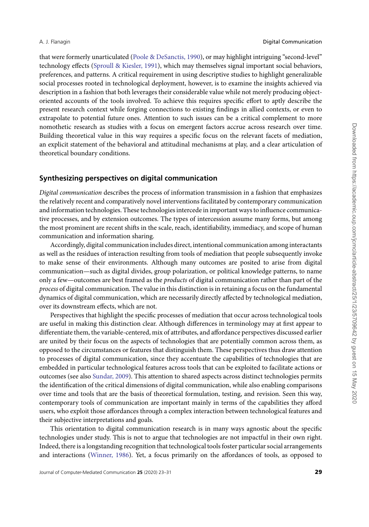that were formerly unarticulated [\(Poole & DeSanctis, 1990\)](#page-8-13), or may highlight intriguing "second-level" technology effects [\(Sproull & Kiesler, 1991\)](#page-8-14), which may themselves signal important social behaviors, preferences, and patterns. A critical requirement in using descriptive studies to highlight generalizable social processes rooted in technological deployment, however, is to examine the insights achieved via description in a fashion that both leverages their considerable value while not merely producing objectoriented accounts of the tools involved. To achieve this requires specific effort to aptly describe the present research context while forging connections to existing findings in allied contexts, or even to extrapolate to potential future ones. Attention to such issues can be a critical complement to more nomothetic research as studies with a focus on emergent factors accrue across research over time. Building theoretical value in this way requires a specific focus on the relevant facets of mediation, an explicit statement of the behavioral and attitudinal mechanisms at play, and a clear articulation of theoretical boundary conditions.

### **Synthesizing perspectives on digital communication**

*Digital communication* describes the process of information transmission in a fashion that emphasizes the relatively recent and comparatively novel interventions facilitated by contemporary communication and information technologies. These technologies intercede in important ways to influence communicative processes, and by extension outcomes. The types of intercession assume many forms, but among the most prominent are recent shifts in the scale, reach, identifiability, immediacy, and scope of human communication and information sharing.

Accordingly, digital communication includes direct, intentional communication among interactants as well as the residues of interaction resulting from tools of mediation that people subsequently invoke to make sense of their environments. Although many outcomes are posited to arise from digital communication—such as digital divides, group polarization, or political knowledge patterns, to name only a few—outcomes are best framed as the *products* of digital communication rather than part of the *process* of digital communication. The value in this distinction is in retaining a focus on the fundamental dynamics of digital communication, which are necessarily directly affected by technological mediation, over its downstream effects, which are not.

Perspectives that highlight the specific processes of mediation that occur across technological tools are useful in making this distinction clear. Although differences in terminology may at first appear to differentiate them, the variable-centered, mix of attributes, and affordance perspectives discussed earlier are united by their focus on the aspects of technologies that are potentially common across them, as opposed to the circumstances or features that distinguish them. These perspectives thus draw attention to processes of digital communication, since they accentuate the capabilities of technologies that are embedded in particular technological features across tools that can be exploited to facilitate actions or outcomes (see also [Sundar, 2009\)](#page-8-12). This attention to shared aspects across distinct technologies permits the identification of the critical dimensions of digital communication, while also enabling comparisons over time and tools that are the basis of theoretical formulation, testing, and revision. Seen this way, contemporary tools of communication are important mainly in terms of the capabilities they afford users, who exploit those affordances through a complex interaction between technological features and their subjective interpretations and goals.

This orientation to digital communication research is in many ways agnostic about the specific technologies under study. This is not to argue that technologies are not impactful in their own right. Indeed, there is a longstanding recognition that technological tools foster particular social arrangements and interactions [\(Winner, 1986\)](#page-8-15). Yet, a focus primarily on the affordances of tools, as opposed to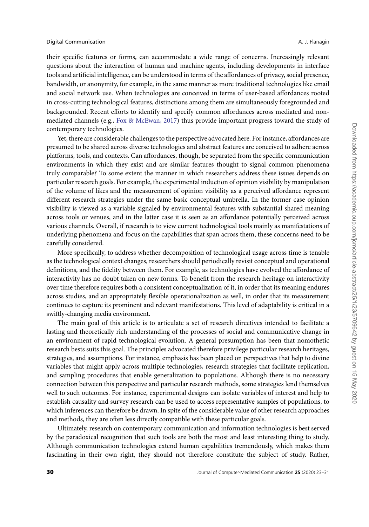their specific features or forms, can accommodate a wide range of concerns. Increasingly relevant questions about the interaction of human and machine agents, including developments in interface tools and artificial intelligence, can be understood in terms of the affordances of privacy, social presence, bandwidth, or anonymity, for example, in the same manner as more traditional technologies like email and social network use. When technologies are conceived in terms of user-based affordances rooted in cross-cutting technological features, distinctions among them are simultaneously foregrounded and backgrounded. Recent efforts to identify and specify common affordances across mediated and nonmediated channels (e.g., [Fox & McEwan, 2017\)](#page-8-2) thus provide important progress toward the study of contemporary technologies.

Yet, there are considerable challenges to the perspective advocated here. For instance, affordances are presumed to be shared across diverse technologies and abstract features are conceived to adhere across platforms, tools, and contexts. Can affordances, though, be separated from the specific communication environments in which they exist and are similar features thought to signal common phenomena truly comparable? To some extent the manner in which researchers address these issues depends on particular research goals. For example, the experimental induction of opinion visibility by manipulation of the volume of likes and the measurement of opinion visibility as a perceived affordance represent different research strategies under the same basic conceptual umbrella. In the former case opinion visibility is viewed as a variable signaled by environmental features with substantial shared meaning across tools or venues, and in the latter case it is seen as an affordance potentially perceived across various channels. Overall, if research is to view current technological tools mainly as manifestations of underlying phenomena and focus on the capabilities that span across them, these concerns need to be carefully considered.

More specifically, to address whether decomposition of technological usage across time is tenable as the technological context changes, researchers should periodically revisit conceptual and operational definitions, and the fidelity between them. For example, as technologies have evolved the affordance of interactivity has no doubt taken on new forms. To benefit from the research heritage on interactivity over time therefore requires both a consistent conceptualization of it, in order that its meaning endures across studies, and an appropriately flexible operationalization as well, in order that its measurement continues to capture its prominent and relevant manifestations. This level of adaptability is critical in a swiftly-changing media environment.

The main goal of this article is to articulate a set of research directives intended to facilitate a lasting and theoretically rich understanding of the processes of social and communicative change in an environment of rapid technological evolution. A general presumption has been that nomothetic research bests suits this goal. The principles advocated therefore privilege particular research heritages, strategies, and assumptions. For instance, emphasis has been placed on perspectives that help to divine variables that might apply across multiple technologies, research strategies that facilitate replication, and sampling procedures that enable generalization to populations. Although there is no necessary connection between this perspective and particular research methods, some strategies lend themselves well to such outcomes. For instance, experimental designs can isolate variables of interest and help to establish causality and survey research can be used to access representative samples of populations, to which inferences can therefore be drawn. In spite of the considerable value of other research approaches and methods, they are often less directly compatible with these particular goals.

Ultimately, research on contemporary communication and information technologies is best served by the paradoxical recognition that such tools are both the most and least interesting thing to study. Although communication technologies extend human capabilities tremendously, which makes them fascinating in their own right, they should not therefore constitute the subject of study. Rather,